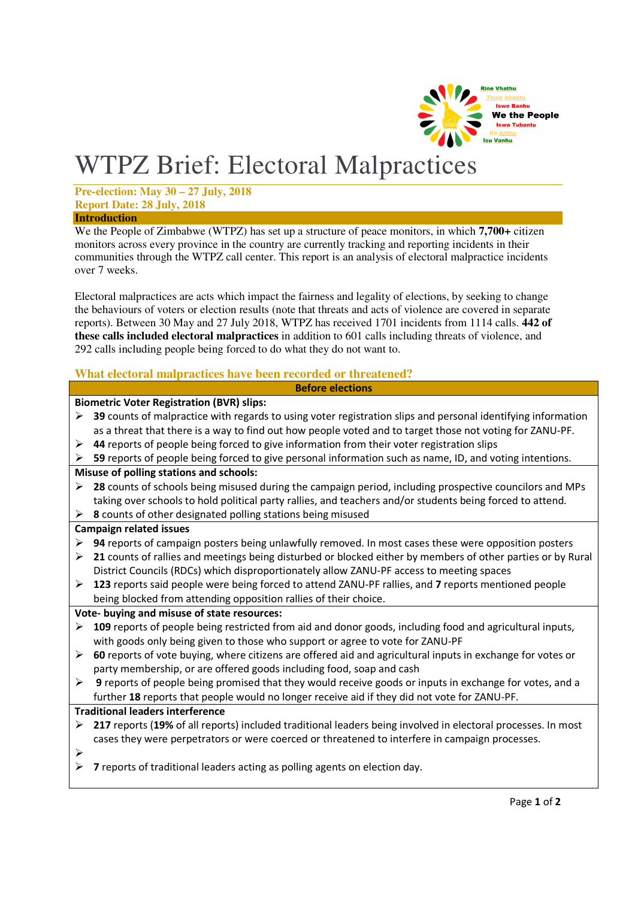

# WTPZ Brief: Electoral Malpractices

#### **Pre-election: May 30 – 27 July, 2018 Report Date: 28 July, 2018 Introduction**

We the People of Zimbabwe (WTPZ) has set up a structure of peace monitors, in which **7,700+** citizen monitors across every province in the country are currently tracking and reporting incidents in their communities through the WTPZ call center. This report is an analysis of electoral malpractice incidents over 7 weeks.

Electoral malpractices are acts which impact the fairness and legality of elections, by seeking to change the behaviours of voters or election results (note that threats and acts of violence are covered in separate reports). Between 30 May and 27 July 2018, WTPZ has received 1701 incidents from 1114 calls. **442 of these calls included electoral malpractices** in addition to 601 calls including threats of violence, and 292 calls including people being forced to do what they do not want to.

# **What electoral malpractices have been recorded or threatened?**

**Before elections**

## **Biometric Voter Registration (BVR) slips:**

- **39** counts of malpractice with regards to using voter registration slips and personal identifying information as a threat that there is a way to find out how people voted and to target those not voting for ZANU-PF.
- **44** reports of people being forced to give information from their voter registration slips
- **59** reports of people being forced to give personal information such as name, ID, and voting intentions.

## **Misuse of polling stations and schools:**

- **28** counts of schools being misused during the campaign period, including prospective councilors and MPs taking over schools to hold political party rallies, and teachers and/or students being forced to attend.
- **8** counts of other designated polling stations being misused

## **Campaign related issues**

- **94** reports of campaign posters being unlawfully removed. In most cases these were opposition posters
- **21** counts of rallies and meetings being disturbed or blocked either by members of other parties or by Rural District Councils (RDCs) which disproportionately allow ZANU-PF access to meeting spaces
- **123** reports said people were being forced to attend ZANU-PF rallies, and **7** reports mentioned people being blocked from attending opposition rallies of their choice.

## **Vote- buying and misuse of state resources:**

- **109** reports of people being restricted from aid and donor goods, including food and agricultural inputs, with goods only being given to those who support or agree to vote for ZANU-PF
- **60** reports of vote buying, where citizens are offered aid and agricultural inputs in exchange for votes or party membership, or are offered goods including food, soap and cash
- **9** reports of people being promised that they would receive goods or inputs in exchange for votes, and a further **18** reports that people would no longer receive aid if they did not vote for ZANU-PF.

## **Traditional leaders interference**

- **217** reports (**19%** of all reports) included traditional leaders being involved in electoral processes. In most cases they were perpetrators or were coerced or threatened to interfere in campaign processes.
- $\triangleright$
- **7** reports of traditional leaders acting as polling agents on election day.